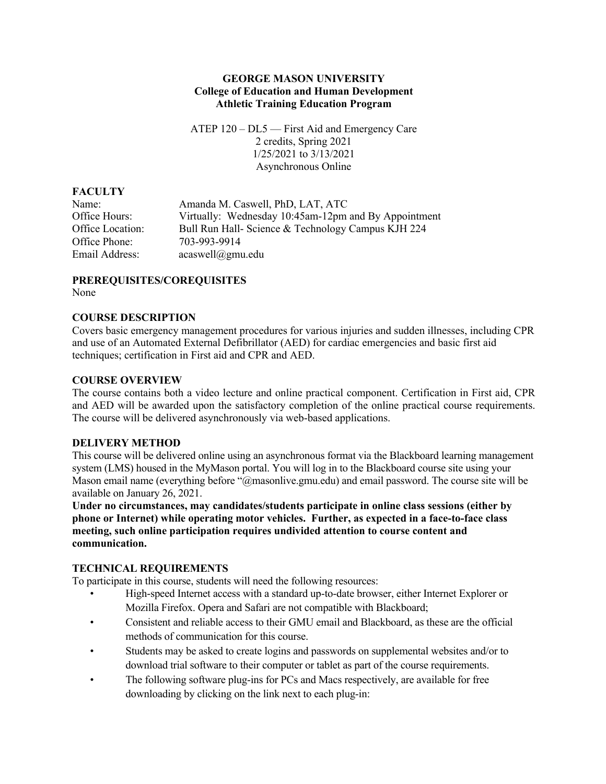#### **GEORGE MASON UNIVERSITY College of Education and Human Development Athletic Training Education Program**

ATEP 120 – DL5 — First Aid and Emergency Care 2 credits, Spring 2021 1/25/2021 to 3/13/2021 Asynchronous Online

## **FACULTY**

| Name:            | Amanda M. Caswell, PhD, LAT, ATC                     |
|------------------|------------------------------------------------------|
| Office Hours:    | Virtually: Wednesday 10:45am-12pm and By Appointment |
| Office Location: | Bull Run Hall- Science & Technology Campus KJH 224   |
| Office Phone:    | 703-993-9914                                         |
| Email Address:   | acaswell@gmu.edu                                     |

## **PREREQUISITES/COREQUISITES**

None

## **COURSE DESCRIPTION**

Covers basic emergency management procedures for various injuries and sudden illnesses, including CPR and use of an Automated External Defibrillator (AED) for cardiac emergencies and basic first aid techniques; certification in First aid and CPR and AED.

#### **COURSE OVERVIEW**

The course contains both a video lecture and online practical component. Certification in First aid, CPR and AED will be awarded upon the satisfactory completion of the online practical course requirements. The course will be delivered asynchronously via web-based applications.

#### **DELIVERY METHOD**

This course will be delivered online using an asynchronous format via the Blackboard learning management system (LMS) housed in the MyMason portal. You will log in to the Blackboard course site using your Mason email name (everything before "@masonlive.gmu.edu) and email password. The course site will be available on January 26, 2021.

**Under no circumstances, may candidates/students participate in online class sessions (either by phone or Internet) while operating motor vehicles. Further, as expected in a face-to-face class meeting, such online participation requires undivided attention to course content and communication.**

## **TECHNICAL REQUIREMENTS**

To participate in this course, students will need the following resources:

- High-speed Internet access with a standard up-to-date browser, either Internet Explorer or Mozilla Firefox. Opera and Safari are not compatible with Blackboard;
- Consistent and reliable access to their GMU email and Blackboard, as these are the official methods of communication for this course.
- Students may be asked to create logins and passwords on supplemental websites and/or to download trial software to their computer or tablet as part of the course requirements.
- The following software plug-ins for PCs and Macs respectively, are available for free downloading by clicking on the link next to each plug-in: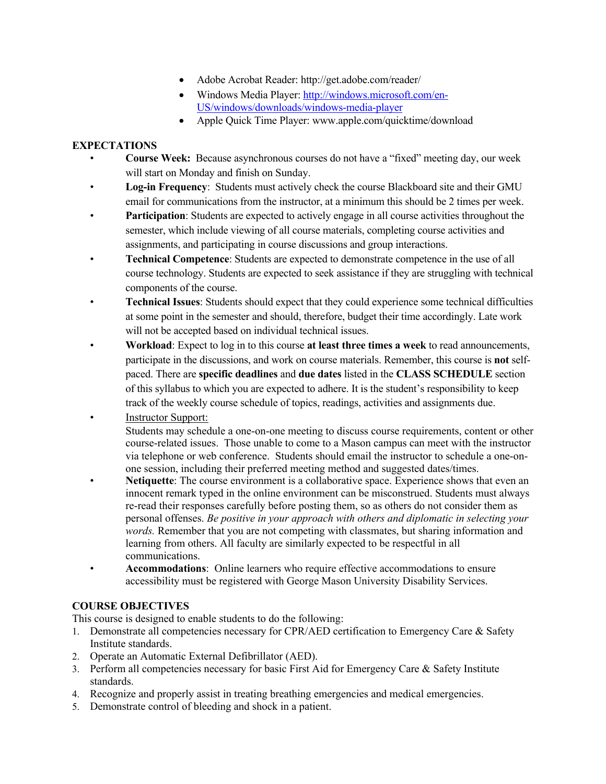- Adobe Acrobat Reader: http://get.adobe.com/reader/
- Windows Media Player: http://windows.microsoft.com/en-US/windows/downloads/windows-media-player
- Apple Quick Time Player: www.apple.com/quicktime/download

## **EXPECTATIONS**

- **Course Week:** Because asynchronous courses do not have a "fixed" meeting day, our week will start on Monday and finish on Sunday.
- **Log-in Frequency**: Students must actively check the course Blackboard site and their GMU email for communications from the instructor, at a minimum this should be 2 times per week.
- **Participation:** Students are expected to actively engage in all course activities throughout the semester, which include viewing of all course materials, completing course activities and assignments, and participating in course discussions and group interactions.
- **Technical Competence**: Students are expected to demonstrate competence in the use of all course technology. Students are expected to seek assistance if they are struggling with technical components of the course.
- **Technical Issues**: Students should expect that they could experience some technical difficulties at some point in the semester and should, therefore, budget their time accordingly. Late work will not be accepted based on individual technical issues.
- **Workload**: Expect to log in to this course **at least three times a week** to read announcements, participate in the discussions, and work on course materials. Remember, this course is **not** selfpaced. There are **specific deadlines** and **due dates** listed in the **CLASS SCHEDULE** section of this syllabus to which you are expected to adhere. It is the student's responsibility to keep track of the weekly course schedule of topics, readings, activities and assignments due.
- Instructor Support:

Students may schedule a one-on-one meeting to discuss course requirements, content or other course-related issues. Those unable to come to a Mason campus can meet with the instructor via telephone or web conference. Students should email the instructor to schedule a one-onone session, including their preferred meeting method and suggested dates/times.

- Netiquette: The course environment is a collaborative space. Experience shows that even an innocent remark typed in the online environment can be misconstrued. Students must always re-read their responses carefully before posting them, so as others do not consider them as personal offenses. *Be positive in your approach with others and diplomatic in selecting your words.* Remember that you are not competing with classmates, but sharing information and learning from others. All faculty are similarly expected to be respectful in all communications.
- **Accommodations**: Online learners who require effective accommodations to ensure accessibility must be registered with George Mason University Disability Services.

## **COURSE OBJECTIVES**

This course is designed to enable students to do the following:

- 1. Demonstrate all competencies necessary for CPR/AED certification to Emergency Care & Safety Institute standards.
- 2. Operate an Automatic External Defibrillator (AED).
- 3. Perform all competencies necessary for basic First Aid for Emergency Care & Safety Institute standards.
- 4. Recognize and properly assist in treating breathing emergencies and medical emergencies.
- 5. Demonstrate control of bleeding and shock in a patient.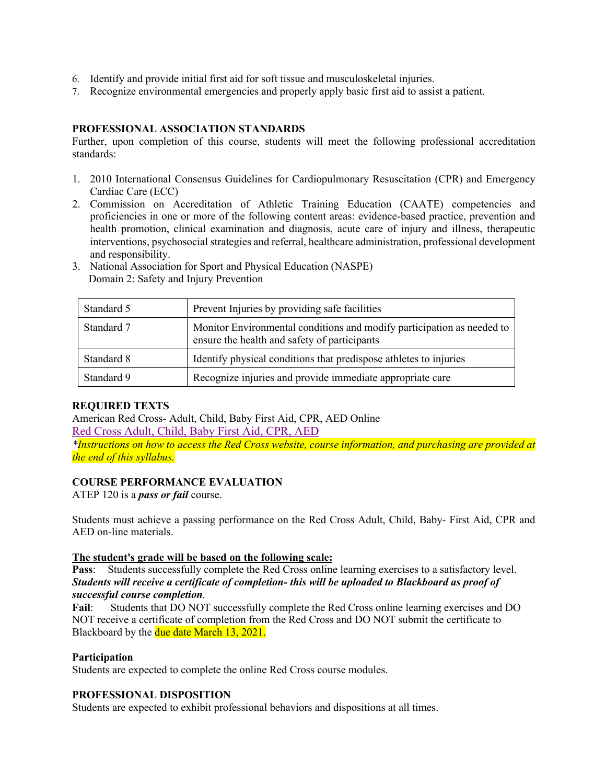- 6. Identify and provide initial first aid for soft tissue and musculoskeletal injuries.
- 7. Recognize environmental emergencies and properly apply basic first aid to assist a patient.

#### **PROFESSIONAL ASSOCIATION STANDARDS**

Further, upon completion of this course, students will meet the following professional accreditation standards:

- 1. 2010 International Consensus Guidelines for Cardiopulmonary Resuscitation (CPR) and Emergency Cardiac Care (ECC)
- 2. Commission on Accreditation of Athletic Training Education (CAATE) competencies and proficiencies in one or more of the following content areas: evidence-based practice, prevention and health promotion, clinical examination and diagnosis, acute care of injury and illness, therapeutic interventions, psychosocial strategies and referral, healthcare administration, professional development and responsibility.
- 3. National Association for Sport and Physical Education (NASPE) Domain 2: Safety and Injury Prevention

| Standard 5 | Prevent Injuries by providing safe facilities                                                                          |
|------------|------------------------------------------------------------------------------------------------------------------------|
| Standard 7 | Monitor Environmental conditions and modify participation as needed to<br>ensure the health and safety of participants |
| Standard 8 | Identify physical conditions that predispose athletes to injuries                                                      |
| Standard 9 | Recognize injuries and provide immediate appropriate care                                                              |

## **REQUIRED TEXTS**

American Red Cross- Adult, Child, Baby First Aid, CPR, AED Online Red Cross Adult, Child, Baby First Aid, CPR, AED

*\*Instructions on how to access the Red Cross website, course information, and purchasing are provided at the end of this syllabus.*

## **COURSE PERFORMANCE EVALUATION**

ATEP 120 is a *pass or fail* course.

Students must achieve a passing performance on the Red Cross Adult, Child, Baby- First Aid, CPR and AED on-line materials.

#### **The student's grade will be based on the following scale:**

**Pass**: Students successfully complete the Red Cross online learning exercises to a satisfactory level. *Students will receive a certificate of completion- this will be uploaded to Blackboard as proof of successful course completion.*

**Fail**: Students that DO NOT successfully complete the Red Cross online learning exercises and DO NOT receive a certificate of completion from the Red Cross and DO NOT submit the certificate to Blackboard by the due date March 13, 2021.

#### **Participation**

Students are expected to complete the online Red Cross course modules.

#### **PROFESSIONAL DISPOSITION**

Students are expected to exhibit professional behaviors and dispositions at all times.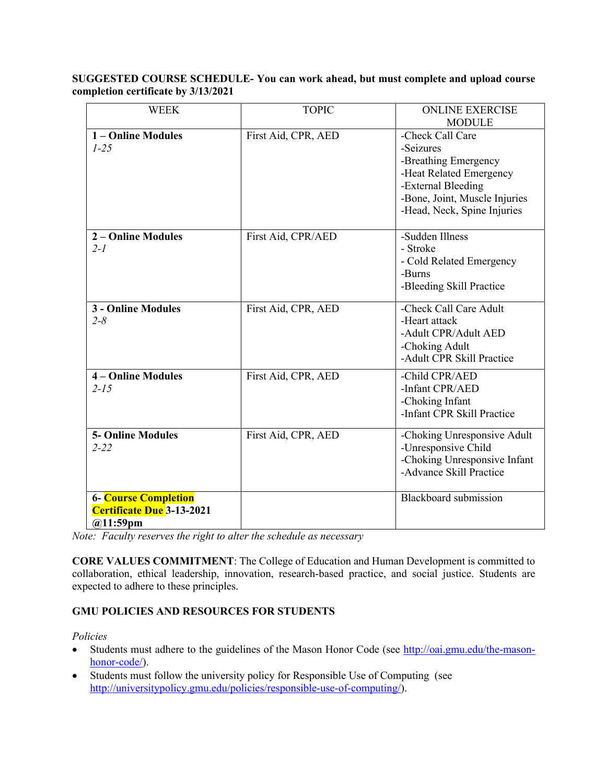| <b>WEEK</b>                 | <b>TOPIC</b>        | <b>ONLINE EXERCISE</b>        |
|-----------------------------|---------------------|-------------------------------|
|                             |                     | <b>MODULE</b>                 |
| 1 - Online Modules          | First Aid, CPR, AED | -Check Call Care              |
| $1 - 25$                    |                     | -Seizures                     |
|                             |                     | -Breathing Emergency          |
|                             |                     | -Heat Related Emergency       |
|                             |                     | -External Bleeding            |
|                             |                     | -Bone, Joint, Muscle Injuries |
|                             |                     | -Head, Neck, Spine Injuries   |
|                             |                     |                               |
| 2 - Online Modules          | First Aid, CPR/AED  | -Sudden Illness               |
| $2 - I$                     |                     | - Stroke                      |
|                             |                     | - Cold Related Emergency      |
|                             |                     | -Burns                        |
|                             |                     | -Bleeding Skill Practice      |
| <b>3 - Online Modules</b>   |                     | -Check Call Care Adult        |
| $2 - 8$                     | First Aid, CPR, AED | -Heart attack                 |
|                             |                     | -Adult CPR/Adult AED          |
|                             |                     | -Choking Adult                |
|                             |                     | -Adult CPR Skill Practice     |
|                             |                     |                               |
| <b>4-Online Modules</b>     | First Aid, CPR, AED | -Child CPR/AED                |
| $2 - 15$                    |                     | -Infant CPR/AED               |
|                             |                     | -Choking Infant               |
|                             |                     | -Infant CPR Skill Practice    |
| <b>5- Online Modules</b>    | First Aid, CPR, AED | -Choking Unresponsive Adult   |
| $2 - 22$                    |                     | -Unresponsive Child           |
|                             |                     | -Choking Unresponsive Infant  |
|                             |                     | -Advance Skill Practice       |
|                             |                     |                               |
| <b>6- Course Completion</b> |                     | <b>Blackboard</b> submission  |
| Certificate Due 3-13-2021   |                     |                               |
| $@11:59$ pm                 |                     |                               |

#### **SUGGESTED COURSE SCHEDULE- You can work ahead, but must complete and upload course completion certificate by 3/13/2021**

*Note: Faculty reserves the right to alter the schedule as necessary*

**CORE VALUES COMMITMENT**: The College of Education and Human Development is committed to collaboration, ethical leadership, innovation, research-based practice, and social justice. Students are expected to adhere to these principles.

## **GMU POLICIES AND RESOURCES FOR STUDENTS**

*Policies*

- Students must adhere to the guidelines of the Mason Honor Code (see http://oai.gmu.edu/the-masonhonor-code/).
- Students must follow the university policy for Responsible Use of Computing (see http://universitypolicy.gmu.edu/policies/responsible-use-of-computing/).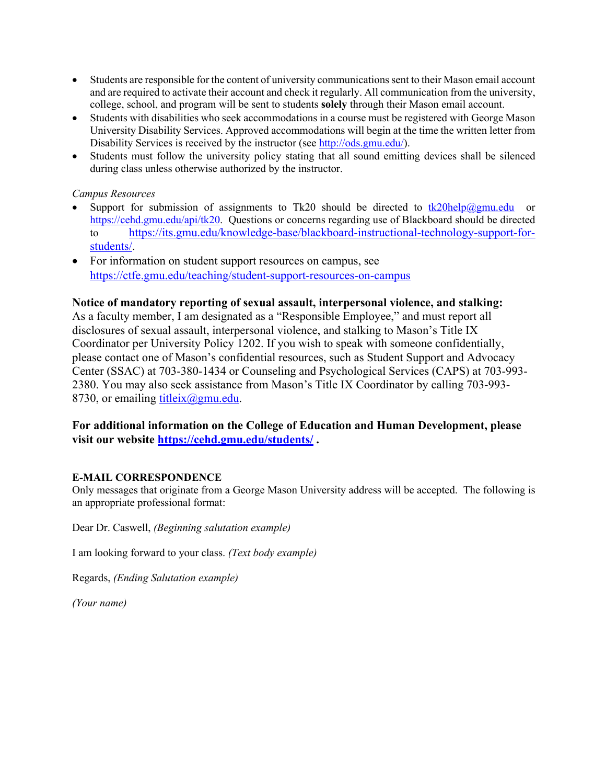- Students are responsible for the content of university communications sent to their Mason email account and are required to activate their account and check it regularly. All communication from the university, college, school, and program will be sent to students **solely** through their Mason email account.
- Students with disabilities who seek accommodations in a course must be registered with George Mason University Disability Services. Approved accommodations will begin at the time the written letter from Disability Services is received by the instructor (see http://ods.gmu.edu/).
- Students must follow the university policy stating that all sound emitting devices shall be silenced during class unless otherwise authorized by the instructor.

#### *Campus Resources*

- Support for submission of assignments to Tk20 should be directed to  $\frac{tk20\text{help@gmu.edu}}{tk20\text{help@gmu.edu}}$  or https://cehd.gmu.edu/api/tk20. Questions or concerns regarding use of Blackboard should be directed to https://its.gmu.edu/knowledge-base/blackboard-instructional-technology-support-forstudents/.
- For information on student support resources on campus, see https://ctfe.gmu.edu/teaching/student-support-resources-on-campus

## **Notice of mandatory reporting of sexual assault, interpersonal violence, and stalking:**

As a faculty member, I am designated as a "Responsible Employee," and must report all disclosures of sexual assault, interpersonal violence, and stalking to Mason's Title IX Coordinator per University Policy 1202. If you wish to speak with someone confidentially, please contact one of Mason's confidential resources, such as Student Support and Advocacy Center (SSAC) at 703-380-1434 or Counseling and Psychological Services (CAPS) at 703-993- 2380. You may also seek assistance from Mason's Title IX Coordinator by calling 703-993- 8730, or emailing titleix $(\partial g$ mu.edu.

## **For additional information on the College of Education and Human Development, please visit our website https://cehd.gmu.edu/students/ .**

#### **E-MAIL CORRESPONDENCE**

Only messages that originate from a George Mason University address will be accepted. The following is an appropriate professional format:

Dear Dr. Caswell, *(Beginning salutation example)*

I am looking forward to your class. *(Text body example)*

Regards, *(Ending Salutation example)*

*(Your name)*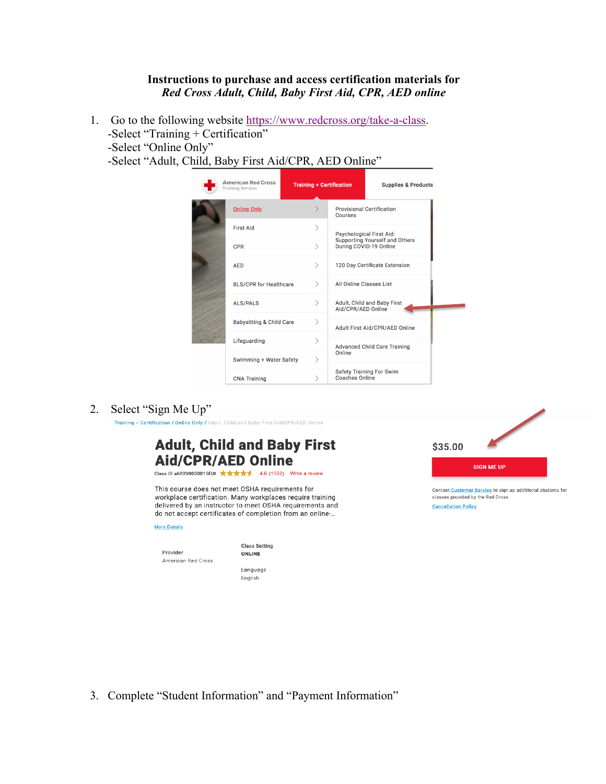**Instructions to purchase and access certification materials for** *Red Cross Adult, Child, Baby First Aid, CPR, AED online*

1. Go to the following website https://www.redcross.org/take-a-class. -Select "Training + Certification" -Select "Online Only" -Select "Adult, Child, Baby First Aid/CPR, AED Online"

| <b>American Red Cross</b><br><b>Training Services</b> |                                     | <b>Training + Certification</b> |                                                          | <b>Supplies &amp; Products</b>      |  |
|-------------------------------------------------------|-------------------------------------|---------------------------------|----------------------------------------------------------|-------------------------------------|--|
|                                                       | <b>Online Only</b>                  |                                 | <b>Courses</b>                                           | <b>Provisional Certification</b>    |  |
|                                                       | <b>First Aid</b>                    |                                 | Psychological First Aid:                                 |                                     |  |
| <b>CPR</b>                                            |                                     |                                 | Supporting Yourself and Others<br>During COVID-19 Online |                                     |  |
| <b>AED</b>                                            |                                     | $\left\langle \right\rangle$    |                                                          | 120 Day Certificate Extension       |  |
|                                                       | <b>BLS/CPR for Healthcare</b>       | ⋋                               | All Online Classes List                                  |                                     |  |
|                                                       | <b>ALS/PALS</b>                     |                                 | Aid/CPR/AED Online                                       | Adult, Child and Baby First         |  |
|                                                       | <b>Babysitting &amp; Child Care</b> |                                 |                                                          | Adult First Aid/CPR/AED Online      |  |
|                                                       | Lifeguarding                        |                                 |                                                          | <b>Advanced Child Care Training</b> |  |
|                                                       | Swimming + Water Safety             |                                 | Online                                                   |                                     |  |
|                                                       | <b>CNA Training</b>                 |                                 | <b>Coaches Online</b>                                    | <b>Safety Training For Swim</b>     |  |

2. Select "Sign Me Up"

Training + Certification / Online Only / Adult, Child and Baby First Aid/CPR/AED Online

# **Adult, Child and Baby First Aid/CPR/AED Online**

Class ID a6R0V0000015EUt ★★★★★ 4.6 (1592) Write a review

This course does not meet OSHA requirements for workplace certification. Many workplaces require training delivered by an instructor to meet OSHA requirements and do not accept certificates of completion from an online-...

**More Details** 

Provider American Red Cross **Class Setting** ONLINE

Language English

\$35.00 **SIGN ME UP** 

Contact Customer Service to sign up additional students for classes provided by the Red Cross. **Cancellation Policy** 

3. Complete "Student Information" and "Payment Information"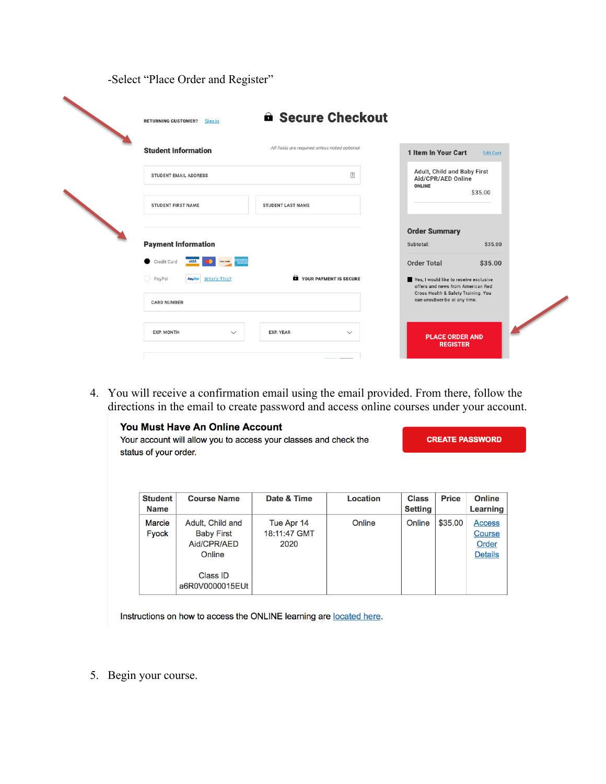|                                               | All fields are required unless noted optional. |                                                                                                                    |                  |
|-----------------------------------------------|------------------------------------------------|--------------------------------------------------------------------------------------------------------------------|------------------|
| <b>Student Information</b>                    |                                                | 1 Item In Your Cart                                                                                                | <b>Edit Cart</b> |
| <b>STUDENT EMAIL ADDRESS</b>                  | $\equiv$                                       | Adult, Child and Baby First<br>Aid/CPR/AED Online<br>ONLINE                                                        | \$35.00          |
| <b>STUDENT FIRST NAME</b>                     | <b>STUDENT LAST NAME</b>                       |                                                                                                                    |                  |
|                                               |                                                | <b>Order Summary</b>                                                                                               |                  |
| <b>Payment Information</b>                    |                                                | Subtotal:                                                                                                          | \$35.00          |
| Credit Card<br><b>VISA</b><br><b>DISCOVER</b> |                                                | <b>Order Total</b>                                                                                                 | \$35.00          |
| ◯ PayPal<br><b>What's This?</b><br>PayPal     | <b>O</b> YOUR PAYMENT IS SECURE                | Yes, I would like to receive exclusive<br>offers and news from American Red<br>Cross Health & Safety Training. You |                  |
| <b>CARD NUMBER</b>                            |                                                | can unsubscribe at any time.                                                                                       |                  |

4. You will receive a confirmation email using the email provided. From there, follow the directions in the email to create password and access online courses under your account.

#### You Must Have An Online Account

-Select "Place Order and Register"

```
Your account will allow you to access your classes and check the
status of your order.
```
**CREATE PASSWORD** 

| <b>Student</b><br><b>Name</b> | <b>Course Name</b>                                             | Date & Time                        | <b>Location</b> | <b>Class</b><br><b>Setting</b> | <b>Price</b> | <b>Online</b><br>Learning                                 |
|-------------------------------|----------------------------------------------------------------|------------------------------------|-----------------|--------------------------------|--------------|-----------------------------------------------------------|
| <b>Marcie</b><br><b>Fyock</b> | Adult, Child and<br><b>Baby First</b><br>Aid/CPR/AED<br>Online | Tue Apr 14<br>18:11:47 GMT<br>2020 | Online          | Online                         | \$35.00      | <b>Access</b><br><b>Course</b><br>Order<br><b>Details</b> |
|                               | Class ID<br>a6R0V0000015EUt                                    |                                    |                 |                                |              |                                                           |

Instructions on how to access the ONLINE learning are located here.

5. Begin your course.